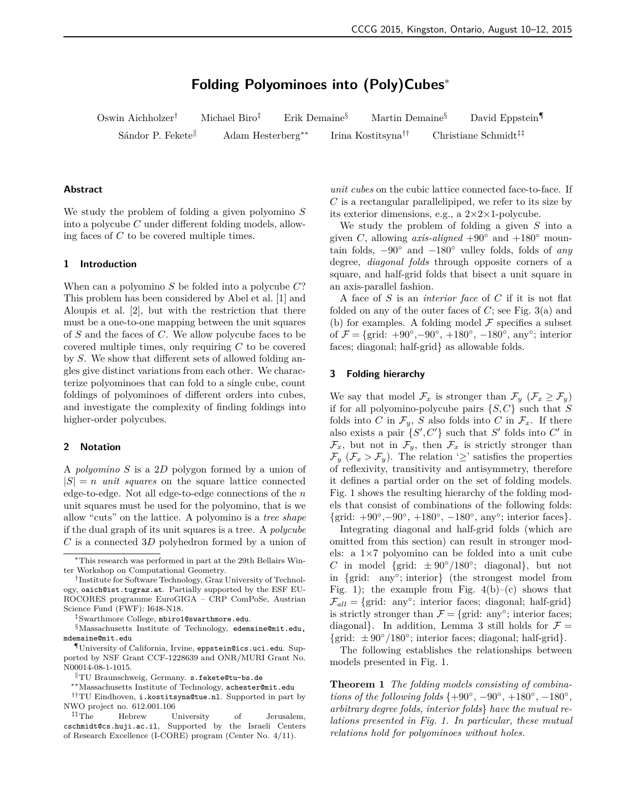# **Folding Polyominoes into (Poly)Cubes**<sup>∗</sup>

Oswin Aichholzer<sup>†</sup> Michael Biro<sup>‡</sup> Erik Demaine<sup>§</sup> Martin Demaine<sup>§</sup> David Eppstein<sup>¶</sup> Sándor P. Fekete<sup>∥</sup> Adam Hesterberg<sup>∗∗</sup> Irina Kostitsyna<sup>††</sup> Christiane Schmidt<sup>‡‡</sup>

# Abstract

We study the problem of folding a given polyomino *S* into a polycube *C* under different folding models, allowing faces of *C* to be covered multiple times.

#### 1 Introduction

When can a polyomino *S* be folded into a polycube *C*? This problem has been considered by Abel et al. [\[1\]](#page-5-0) and Aloupis et al. [\[2\]](#page-5-1), but with the restriction that there must be a one-to-one mapping between the unit squares of *S* and the faces of *C*. We allow polycube faces to be covered multiple times, only requiring *C* to be covered by *S*. We show that different sets of allowed folding angles give distinct variations from each other. We characterize polyominoes that can fold to a single cube, count foldings of polyominoes of different orders into cubes, and investigate the complexity of finding foldings into higher-order polycubes.

#### 2 Notation

A *polyomino S* is a 2*D* polygon formed by a union of  $|S| = n$  *unit squares* on the square lattice connected edge-to-edge. Not all edge-to-edge connections of the *n* unit squares must be used for the polyomino, that is we allow "cuts" on the lattice. A polyomino is a *tree shape* if the dual graph of its unit squares is a tree. A *polycube C* is a connected 3*D* polyhedron formed by a union of

*unit cubes* on the cubic lattice connected face-to-face. If *C* is a rectangular parallelipiped, we refer to its size by its exterior dimensions, e.g., a  $2 \times 2 \times 1$ -polycube.

We study the problem of folding a given *S* into a given *C*, allowing *axis-aligned* +90 $\degree$  and +180 $\degree$  mountain folds, −90◦ and −180◦ valley folds, folds of *any* degree, *diagonal folds* through opposite corners of a square, and half-grid folds that bisect a unit square in an axis-parallel fashion.

A face of *S* is an *interior face* of *C* if it is not flat folded on any of the outer faces of  $C$ ; see Fig. [3\(](#page-1-0)a) and (b) for examples. A folding model  $\mathcal F$  specifies a subset of  $\mathcal{F} = \{\text{grid: } +90^\circ, -90^\circ, +180^\circ, -180^\circ, \text{ any}^\circ; \text{ interior}\}$ faces; diagonal; half-grid} as allowable folds.

# 3 Folding hierarchy

We say that model  $\mathcal{F}_x$  is stronger than  $\mathcal{F}_y$  ( $\mathcal{F}_x \geq \mathcal{F}_y$ ) if for all polyomino-polycube pairs {*S,C*} such that *S* folds into *C* in  $\mathcal{F}_y$ , *S* also folds into *C* in  $\mathcal{F}_x$ . If there also exists a pair  $\{S', C'\}$  such that *S'* folds into *C'* in  $\mathcal{F}_x$ , but not in  $\mathcal{F}_y$ , then  $\mathcal{F}_x$  is strictly stronger than  $\mathcal{F}_y$  ( $\mathcal{F}_x > \mathcal{F}_y$ ). The relation ' $\geq$ ' satisfies the properties of reflexivity, transitivity and antisymmetry, therefore it defines a partial order on the set of folding models. Fig. [1](#page-1-1) shows the resulting hierarchy of the folding models that consist of combinations of the following folds:  $\{\text{grid: } +90^\circ, -90^\circ, +180^\circ, -180^\circ, \text{ any}^\circ; \text{ interior faces}\}.$ 

Integrating diagonal and half-grid folds (which are omitted from this section) can result in stronger models: a 1×7 polyomino can be folded into a unit cube *C* in model {grid:  $\pm 90^{\circ}/180^{\circ}$ ; diagonal}, but not in {grid: any◦ ; interior} (the strongest model from Fig. [1\)](#page-1-1); the example from Fig. [4\(](#page-1-2)b)–(c) shows that  $\mathcal{F}_{all} = \{ \text{grid: any°}; \text{ interior faces}; \text{ diagonal}; \text{ half-grid} \}$ is strictly stronger than  $\mathcal{F} = \{ \text{grid: any}^{\circ} \}$ ; interior faces; diagonal}. In addition, Lemma [3](#page-1-3) still holds for  $\mathcal{F} =$ {grid:  $\pm 90^{\circ}/180^{\circ}$ ; interior faces; diagonal; half-grid}.

The following establishes the relationships between models presented in Fig. [1.](#page-1-1)

<span id="page-0-0"></span>**Theorem 1** *The folding models consisting of combinations of the following folds*  $\{+90^{\circ}, -90^{\circ}, +180^{\circ}, -180^{\circ},$ *arbitrary degree folds, interior folds*} *have the mutual relations presented in Fig. [1.](#page-1-1) In particular, these mutual relations hold for polyominoes without holes.*

<sup>∗</sup>This research was performed in part at the 29th Bellairs Winter Workshop on Computational Geometry.

<sup>†</sup> Institute for Software Technology, Graz University of Technology, oaich@ist.tugraz.at. Partially supported by the ESF EU-ROCORES programme EuroGIGA – CRP ComPoSe, Austrian Science Fund (FWF): I648-N18.

<sup>‡</sup>Swarthmore College, mbiro1@swarthmore.edu.

<sup>§</sup>Massachusetts Institute of Technology, edemaine@mit.edu, mdemaine@mit.edu

<sup>¶</sup>University of California, Irvine, eppstein@ics.uci.edu. Supported by NSF Grant CCF-1228639 and ONR/MURI Grant No. N00014-08-1-1015.

<sup>k</sup>TU Braunschweig, Germany. s.fekete@tu-bs.de

<sup>∗∗</sup>Massachusetts Institute of Technology, achester@mit.edu

<sup>††</sup>TU Eindhoven, i.kostitsyna@tue.nl. Supported in part by NWO project no. 612.001.106

<sup>‡‡</sup>The Hebrew University of Jerusalem, cschmidt@cs.huji.ac.il, Supported by the Israeli Centers of Research Excellence (I-CORE) program (Center No. 4/11).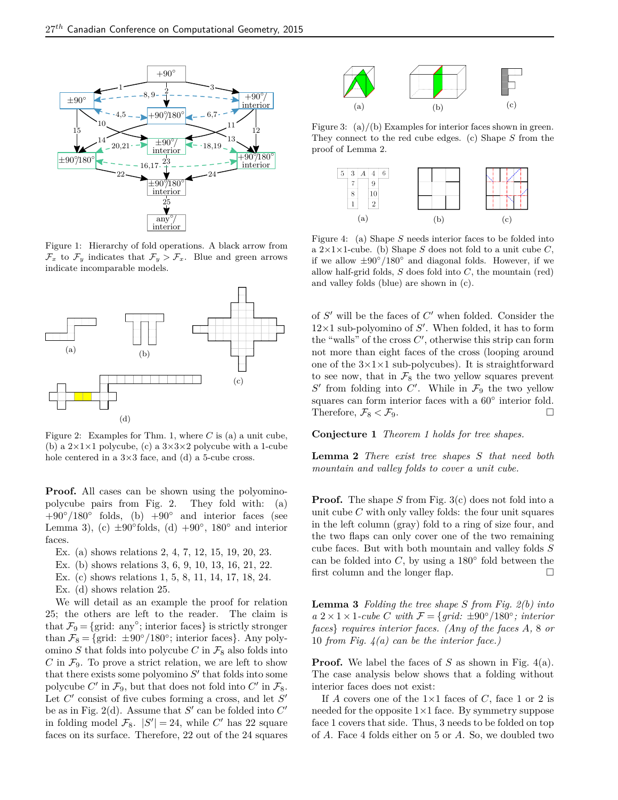<span id="page-1-1"></span>

Figure 1: Hierarchy of fold operations. A black arrow from  $\mathcal{F}_x$  to  $\mathcal{F}_y$  indicates that  $\mathcal{F}_y > \mathcal{F}_x$ . Blue and green arrows indicate incomparable models.

<span id="page-1-4"></span>

Figure 2: Examples for Thm. [1,](#page-0-0) where *C* is (a) a unit cube, (b) a  $2 \times 1 \times 1$  polycube, (c) a  $3 \times 3 \times 2$  polycube with a 1-cube hole centered in a  $3\times3$  face, and (d) a 5-cube cross.

**Proof.** All cases can be shown using the polyominopolycube pairs from Fig. [2.](#page-1-4) They fold with: (a)  $+90°/180°$  folds, (b)  $+90°$  and interior faces (see Lemma [3\)](#page-1-3), (c)  $\pm 90^{\circ}$  folds, (d)  $+90^{\circ}$ , 180 $^{\circ}$  and interior faces.

- Ex. (a) shows relations 2, 4, 7, 12, 15, 19, 20, 23.
- Ex. (b) shows relations 3, 6, 9, 10, 13, 16, 21, 22.
- Ex. (c) shows relations 1, 5, 8, 11, 14, 17, 18, 24.
- Ex. (d) shows relation 25.

We will detail as an example the proof for relation 25; the others are left to the reader. The claim is that  $\mathcal{F}_9 = \{$ grid: any°; interior faces} is strictly stronger than  $\mathcal{F}_8 = \{\text{grid: } \pm 90^\circ/180^\circ; \text{ interior faces}\}.$  Any polyomino *S* that folds into polycube *C* in  $\mathcal{F}_8$  also folds into  $C$  in  $\mathcal{F}_9$ . To prove a strict relation, we are left to show that there exists some polyomino  $S'$  that folds into some polycube  $C'$  in  $\mathcal{F}_9$ , but that does not fold into  $C'$  in  $\mathcal{F}_8$ . Let  $C'$  consist of five cubes forming a cross, and let  $S'$ be as in Fig. [2\(](#page-1-4)d). Assume that  $S'$  can be folded into  $C'$ in folding model  $\mathcal{F}_8$ .  $|S'| = 24$ , while *C'* has 22 square faces on its surface. Therefore, 22 out of the 24 squares

<span id="page-1-0"></span>

Figure 3:  $(a)/(b)$  Examples for interior faces shown in green. They connect to the red cube edges. (c) Shape *S* from the proof of Lemma [2.](#page-1-5)

<span id="page-1-2"></span>

Figure 4: (a) Shape *S* needs interior faces to be folded into a  $2 \times 1 \times 1$ -cube. (b) Shape *S* does not fold to a unit cube *C*, if we allow  $\pm 90^\circ / 180^\circ$  and diagonal folds. However, if we allow half-grid folds, *S* does fold into *C*, the mountain (red) and valley folds (blue) are shown in (c).

of  $S'$  will be the faces of  $C'$  when folded. Consider the  $12\times1$  sub-polyomino of  $S'$ . When folded, it has to form the "walls" of the cross  $C'$ , otherwise this strip can form not more than eight faces of the cross (looping around one of the  $3\times1\times1$  sub-polycubes). It is straightforward to see now, that in  $\mathcal{F}_8$  the two yellow squares prevent  $S'$  from folding into  $C'$ . While in  $\mathcal{F}_9$  the two yellow squares can form interior faces with a  $60^{\circ}$  interior fold. Therefore,  $\mathcal{F}_8 < \mathcal{F}_9$ .

**Conjecture 1** *Theorem [1](#page-0-0) holds for tree shapes.*

<span id="page-1-5"></span>**Lemma 2** *There exist tree shapes S that need both mountain and valley folds to cover a unit cube.*

**Proof.** The shape *S* from Fig. [3\(](#page-1-0)c) does not fold into a unit cube *C* with only valley folds: the four unit squares in the left column (gray) fold to a ring of size four, and the two flaps can only cover one of the two remaining cube faces. But with both mountain and valley folds *S* can be folded into  $C$ , by using a 180 $\degree$  fold between the first column and the longer flap.  $\square$ 

<span id="page-1-3"></span>**Lemma 3** *Folding the tree shape S from Fig. [2\(](#page-1-4)b) into*  $a \ 2 \times 1 \times 1$ -cube *C* with  $\mathcal{F} = \{grid: \pm 90^{\circ}/180^{\circ};$  interior *faces*} *requires interior faces. (Any of the faces A,* 8 *or* 10 *from Fig. [4\(](#page-1-2)a) can be the interior face.)*

**Proof.** We label the faces of *S* as shown in Fig. [4\(](#page-1-2)a). The case analysis below shows that a folding without interior faces does not exist:

If *A* covers one of the  $1\times1$  faces of *C*, face 1 or 2 is needed for the opposite  $1\times1$  face. By symmetry suppose face 1 covers that side. Thus, 3 needs to be folded on top of *A*. Face 4 folds either on 5 or *A*. So, we doubled two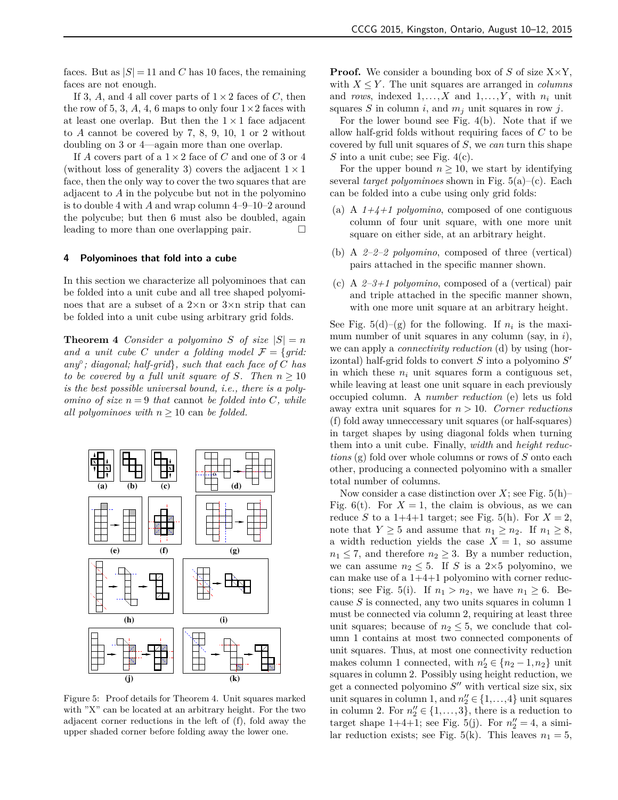faces. But as  $|S| = 11$  and *C* has 10 faces, the remaining faces are not enough.

If 3, A, and 4 all cover parts of  $1 \times 2$  faces of C, then the row of 5, 3, A, 4, 6 maps to only four  $1 \times 2$  faces with at least one overlap. But then the  $1 \times 1$  face adjacent to *A* cannot be covered by 7, 8, 9, 10, 1 or 2 without doubling on 3 or 4—again more than one overlap.

If *A* covers part of a  $1 \times 2$  face of *C* and one of 3 or 4 (without loss of generality 3) covers the adjacent  $1 \times 1$ face, then the only way to cover the two squares that are adjacent to *A* in the polycube but not in the polyomino is to double 4 with *A* and wrap column 4–9–10–2 around the polycube; but then 6 must also be doubled, again leading to more than one overlapping pair.

#### 4 Polyominoes that fold into a cube

In this section we characterize all polyominoes that can be folded into a unit cube and all tree shaped polyominoes that are a subset of a 2×n or 3×n strip that can be folded into a unit cube using arbitrary grid folds.

<span id="page-2-0"></span>**Theorem 4** *Consider a polyomino S of size*  $|S| = n$ and a unit cube *C* under a folding model  $\mathcal{F} = \{grid:$ *any*◦ *; diagonal; half-grid*}*, such that each face of C has to be covered by a full unit square of S. Then*  $n \geq 10$ *is the best possible universal bound, i.e., there is a polyomino of size*  $n = 9$  *that* cannot *be folded into*  $C$ *, while all polyominoes with*  $n \geq 10$  can *be folded.* 

<span id="page-2-1"></span>

Figure 5: Proof details for Theorem [4.](#page-2-0) Unit squares marked with "X" can be located at an arbitrary height. For the two adjacent corner reductions in the left of (f), fold away the upper shaded corner before folding away the lower one.

**Proof.** We consider a bounding box of *S* of size  $X \times Y$ , with  $X \leq Y$ . The unit squares are arranged in *columns* and *rows*, indexed  $1, \ldots, X$  and  $1, \ldots, Y$ , with  $n_i$  unit squares *S* in column *i*, and *m<sup>j</sup>* unit squares in row *j*.

For the lower bound see Fig. [4\(](#page-1-2)b). Note that if we allow half-grid folds without requiring faces of *C* to be covered by full unit squares of *S*, we *can* turn this shape *S* into a unit cube; see Fig. [4\(](#page-1-2)c).

For the upper bound  $n \geq 10$ , we start by identifying several *target polyominoes* shown in Fig. [5\(](#page-2-1)a)–(c). Each can be folded into a cube using only grid folds:

- (a) A  $1+4+1$  *polyomino*, composed of one contiguous column of four unit square, with one more unit square on either side, at an arbitrary height.
- (b) A *2–2–2 polyomino*, composed of three (vertical) pairs attached in the specific manner shown.
- (c) A *2–3+1 polyomino*, composed of a (vertical) pair and triple attached in the specific manner shown, with one more unit square at an arbitrary height.

See Fig.  $5(d)$ –(g) for the following. If  $n<sub>i</sub>$  is the maximum number of unit squares in any column (say, in *i*), we can apply a *connectivity reduction* (d) by using (horizontal) half-grid folds to convert *S* into a polyomino *S* 0 in which these *n<sup>i</sup>* unit squares form a contiguous set, while leaving at least one unit square in each previously occupied column. A *number reduction* (e) lets us fold away extra unit squares for *n >* 10. *Corner reductions* (f) fold away unneccessary unit squares (or half-squares) in target shapes by using diagonal folds when turning them into a unit cube. Finally, *width* and *height reductions* (g) fold over whole columns or rows of *S* onto each other, producing a connected polyomino with a smaller total number of columns.

Now consider a case distinction over  $X$ ; see Fig.  $5(h)$ – Fig. [6\(](#page-3-0)t). For  $X = 1$ , the claim is obvious, as we can reduce *S* to a 1+4+1 target; see Fig. [5\(](#page-2-1)h). For  $X = 2$ , note that  $Y \geq 5$  and assume that  $n_1 \geq n_2$ . If  $n_1 \geq 8$ , a width reduction yields the case  $X = 1$ , so assume  $n_1 \leq 7$ , and therefore  $n_2 \geq 3$ . By a number reduction, we can assume  $n_2 \leq 5$ . If *S* is a 2×5 polyomino, we can make use of a 1+4+1 polyomino with corner reduc-tions; see Fig. [5\(](#page-2-1)i). If  $n_1 > n_2$ , we have  $n_1 \geq 6$ . Because *S* is connected, any two units squares in column 1 must be connected via column 2, requiring at least three unit squares; because of  $n_2 \leq 5$ , we conclude that column 1 contains at most two connected components of unit squares. Thus, at most one connectivity reduction makes column 1 connected, with  $n'_2 \in \{n_2 - 1, n_2\}$  unit squares in column 2. Possibly using height reduction, we get a connected polyomino  $S''$  with vertical size six, six unit squares in column 1, and  $n''_2 \in \{1, ..., 4\}$  unit squares in column 2. For  $n_2'' \in \{1, ..., 3\}$ , there is a reduction to target shape  $1+4+1$ ; see Fig. [5\(](#page-2-1)j). For  $n''_2 = 4$ , a similar reduction exists; see Fig.  $5(k)$ . This leaves  $n_1 = 5$ ,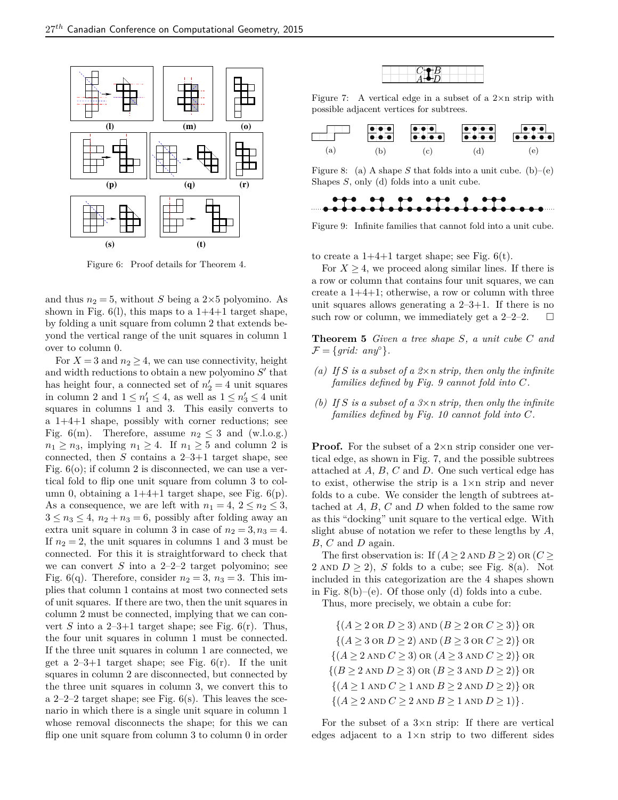<span id="page-3-0"></span>

Figure 6: Proof details for Theorem [4.](#page-2-0)

and thus  $n_2 = 5$ , without *S* being a 2×5 polyomino. As shown in Fig.  $6(1)$ , this maps to a  $1+4+1$  target shape, by folding a unit square from column 2 that extends beyond the vertical range of the unit squares in column 1 over to column 0.

For  $X = 3$  and  $n_2 \geq 4$ , we can use connectivity, height and width reductions to obtain a new polyomino  $S'$  that has height four, a connected set of  $n'_2 = 4$  unit squares in column 2 and  $1 \leq n'_1 \leq 4$ , as well as  $1 \leq n'_3 \leq 4$  unit squares in columns 1 and 3. This easily converts to a 1+4+1 shape, possibly with corner reductions; see Fig. [6\(](#page-3-0)m). Therefore, assume  $n_2 \leq 3$  and (w.l.o.g.)  $n_1 \geq n_3$ , implying  $n_1 \geq 4$ . If  $n_1 \geq 5$  and column 2 is connected, then *S* contains a 2–3+1 target shape, see Fig.  $6$ (o); if column 2 is disconnected, we can use a vertical fold to flip one unit square from column 3 to column 0, obtaining a  $1+4+1$  target shape, see Fig.  $6(p)$ . As a consequence, we are left with  $n_1 = 4$ ,  $2 \le n_2 \le 3$ ,  $3 \leq n_3 \leq 4$ ,  $n_2 + n_3 = 6$ , possibly after folding away an extra unit square in column 3 in case of  $n_2 = 3, n_3 = 4$ . If  $n_2 = 2$ , the unit squares in columns 1 and 3 must be connected. For this it is straightforward to check that we can convert *S* into a 2–2–2 target polyomino; see Fig.  $6(q)$ . Therefore, consider  $n_2 = 3$ ,  $n_3 = 3$ . This implies that column 1 contains at most two connected sets of unit squares. If there are two, then the unit squares in column 2 must be connected, implying that we can convert *S* into a  $2-3+1$  target shape; see Fig.  $6(r)$ . Thus, the four unit squares in column 1 must be connected. If the three unit squares in column 1 are connected, we get a  $2-3+1$  target shape; see Fig.  $6(r)$ . If the unit squares in column 2 are disconnected, but connected by the three unit squares in column 3, we convert this to a  $2-2-2$  target shape; see Fig.  $6(s)$ . This leaves the scenario in which there is a single unit square in column 1 whose removal disconnects the shape; for this we can flip one unit square from column 3 to column 0 in order



<span id="page-3-2"></span>Figure 7: A vertical edge in a subset of a  $2 \times n$  strip with possible adjacent vertices for subtrees.

<span id="page-3-3"></span>

Figure 8: (a) A shape *S* that folds into a unit cube. (b)–(e) Shapes *S*, only (d) folds into a unit cube.

<span id="page-3-1"></span>

Figure 9: Infinite families that cannot fold into a unit cube.

to create a  $1+4+1$  target shape; see Fig.  $6(t)$ .

For  $X \geq 4$ , we proceed along similar lines. If there is a row or column that contains four unit squares, we can create a  $1+4+1$ ; otherwise, a row or column with three unit squares allows generating a  $2-3+1$ . If there is no such row or column, we immediately get a  $2-2-2$ .  $\Box$ 

**Theorem 5** *Given a tree shape S, a unit cube C and*  $\mathcal{F} = \{grid: any^\circ\}.$ 

- *(a) If S is a subset of a 2*×*n strip, then only the infinite families defined by Fig. [9](#page-3-1) cannot fold into C.*
- *(b) If S is a subset of a 3*×*n strip, then only the infinite families defined by Fig. [10](#page-4-0) cannot fold into C.*

**Proof.** For the subset of a 2×n strip consider one vertical edge, as shown in Fig. [7,](#page-3-2) and the possible subtrees attached at *A*, *B*, *C* and *D*. One such vertical edge has to exist, otherwise the strip is a  $1 \times n$  strip and never folds to a cube. We consider the length of subtrees attached at *A*, *B*, *C* and *D* when folded to the same row as this "docking" unit square to the vertical edge. With slight abuse of notation we refer to these lengths by *A*, *B*, *C* and *D* again.

The first observation is: If  $(A \geq 2$  AND  $B \geq 2$ ) OR  $(C \geq 2)$ 2 AND  $D \ge 2$ , *S* folds to a cube; see Fig. [8\(](#page-3-3)a). Not included in this categorization are the 4 shapes shown in Fig.  $8(b)$ –(e). Of those only (d) folds into a cube.

Thus, more precisely, we obtain a cube for:

 $\{(A \geq 2 \text{ or } D \geq 3) \text{ and } (B \geq 2 \text{ or } C \geq 3)\}\text{ or }$  ${(A > 3 \text{ or } D > 2) \text{ AND } (B > 3 \text{ or } C > 2)}$  or  $\{(A \geq 2 \text{ AND } C \geq 3) \text{ OR } (A \geq 3 \text{ AND } C \geq 2)\}\text{ OR }$  $\{(B \geq 2 \text{ AND } D \geq 3) \text{ OR } (B \geq 3 \text{ AND } D \geq 2)\}\text{ OR }$  $\{(A \geq 1 \text{ AND } C \geq 1 \text{ AND } B \geq 2 \text{ AND } D \geq 2)\}\$  OR  $\{(A \geq 2 \text{ AND } C \geq 2 \text{ AND } B \geq 1 \text{ AND } D \geq 1)\}.$ 

For the subset of a  $3\times n$  strip: If there are vertical edges adjacent to a  $1\times n$  strip to two different sides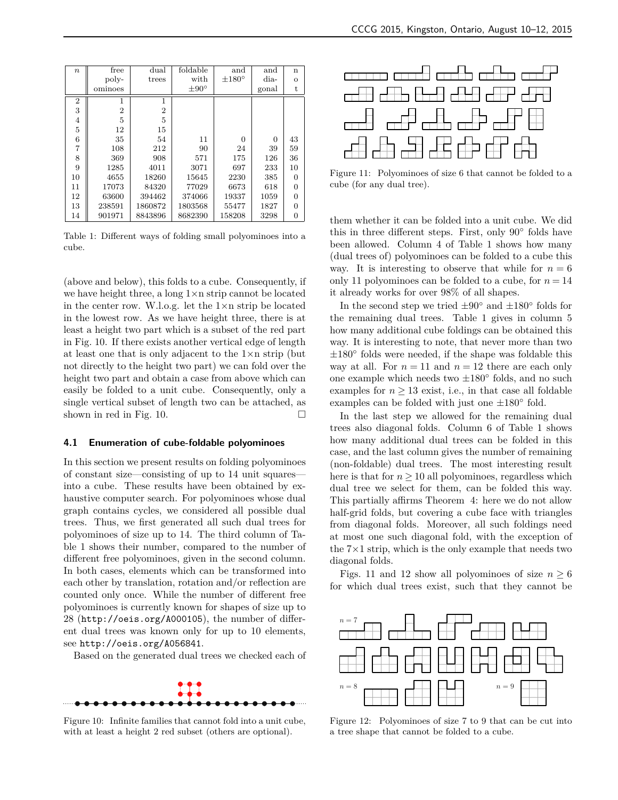<span id="page-4-1"></span>

| $\boldsymbol{n}$ | free           | dual           | foldable       | and             | and      | $\mathbf n$ |
|------------------|----------------|----------------|----------------|-----------------|----------|-------------|
|                  | poly-          | trees          | with           | $\pm 180^\circ$ | dia-     | $\circ$     |
|                  | ominoes        |                | $\pm 90^\circ$ |                 | gonal    | t           |
| 2                | 1              | 1              |                |                 |          |             |
| 3                | $\overline{2}$ | $\overline{2}$ |                |                 |          |             |
| $\overline{4}$   | 5              | 5              |                |                 |          |             |
| 5                | 12             | 15             |                |                 |          |             |
| 6                | 35             | 54             | 11             | 0               | $\theta$ | 43          |
| $\overline{7}$   | 108            | 212            | 90             | 24              | 39       | 59          |
| 8                | 369            | 908            | 571            | 175             | 126      | 36          |
| 9                | 1285           | 4011           | 3071           | 697             | 233      | 10          |
| 10               | 4655           | 18260          | 15645          | 2230            | 385      | 0           |
| 11               | 17073          | 84320          | 77029          | 6673            | 618      | 0           |
| 12               | 63600          | 394462         | 374066         | 19337           | 1059     | 0           |
| 13               | 238591         | 1860872        | 1803568        | 55477           | 1827     | 0           |
| 14               | 901971         | 8843896        | 8682390        | 158208          | 3298     | 0           |

Table 1: Different ways of folding small polyominoes into a cube.

(above and below), this folds to a cube. Consequently, if we have height three, a long 1×n strip cannot be located in the center row. W.l.o.g. let the 1×n strip be located in the lowest row. As we have height three, there is at least a height two part which is a subset of the red part in Fig. [10.](#page-4-0) If there exists another vertical edge of length at least one that is only adjacent to the 1×n strip (but not directly to the height two part) we can fold over the height two part and obtain a case from above which can easily be folded to a unit cube. Consequently, only a single vertical subset of length two can be attached, as shown in red in Fig. [10.](#page-4-0)  $\Box$ 

## 4.1 Enumeration of cube-foldable polyominoes

In this section we present results on folding polyominoes of constant size—consisting of up to 14 unit squares into a cube. These results have been obtained by exhaustive computer search. For polyominoes whose dual graph contains cycles, we considered all possible dual trees. Thus, we first generated all such dual trees for polyominoes of size up to 14. The third column of Table [1](#page-4-1) shows their number, compared to the number of different free polyominoes, given in the second column. In both cases, elements which can be transformed into each other by translation, rotation and/or reflection are counted only once. While the number of different free polyominoes is currently known for shapes of size up to 28 (<http://oeis.org/A000105>), the number of different dual trees was known only for up to 10 elements, see <http://oeis.org/A056841>.

Based on the generated dual trees we checked each of

<span id="page-4-0"></span>

Figure 10: Infinite families that cannot fold into a unit cube, with at least a height 2 red subset (others are optional).

<span id="page-4-2"></span>

Figure 11: Polyominoes of size 6 that cannot be folded to a cube (for any dual tree).

them whether it can be folded into a unit cube. We did this in three different steps. First, only 90◦ folds have been allowed. Column 4 of Table [1](#page-4-1) shows how many (dual trees of) polyominoes can be folded to a cube this way. It is interesting to observe that while for  $n = 6$ only 11 polyominoes can be folded to a cube, for  $n = 14$ it already works for over 98% of all shapes.

In the second step we tried  $\pm 90^\circ$  and  $\pm 180^\circ$  folds for the remaining dual trees. Table [1](#page-4-1) gives in column 5 how many additional cube foldings can be obtained this way. It is interesting to note, that never more than two ±180◦ folds were needed, if the shape was foldable this way at all. For  $n = 11$  and  $n = 12$  there are each only one example which needs two  $\pm 180^\circ$  folds, and no such examples for  $n \geq 13$  exist, i.e., in that case all foldable examples can be folded with just one  $\pm 180^\circ$  fold.

In the last step we allowed for the remaining dual trees also diagonal folds. Column 6 of Table [1](#page-4-1) shows how many additional dual trees can be folded in this case, and the last column gives the number of remaining (non-foldable) dual trees. The most interesting result here is that for  $n \geq 10$  all polyominoes, regardless which dual tree we select for them, can be folded this way. This partially affirms Theorem [4:](#page-2-0) here we do not allow half-grid folds, but covering a cube face with triangles from diagonal folds. Moreover, all such foldings need at most one such diagonal fold, with the exception of the  $7\times1$  strip, which is the only example that needs two diagonal folds.

Figs. [11](#page-4-2) and [12](#page-4-3) show all polyominoes of size  $n \geq 6$ for which dual trees exist, such that they cannot be

<span id="page-4-3"></span>

Figure 12: Polyominoes of size 7 to 9 that can be cut into a tree shape that cannot be folded to a cube.